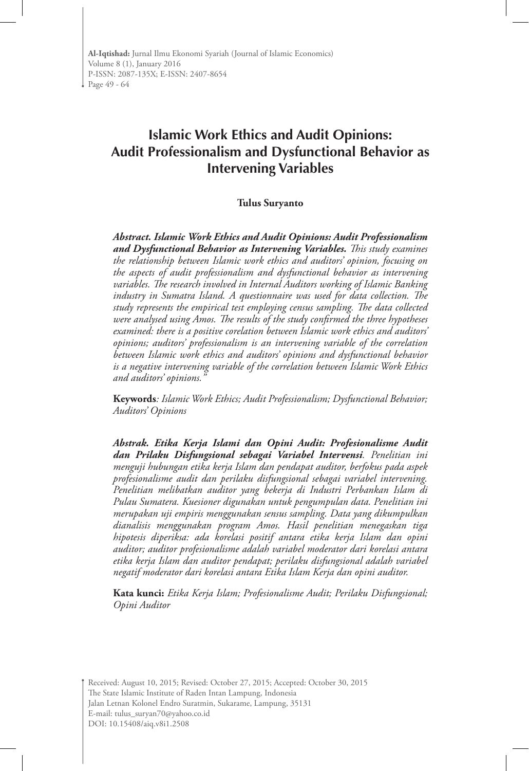# **Islamic Work Ethics and Audit Opinions: Audit Professionalism and Dysfunctional Behavior as Intervening Variables**

#### **Tulus Suryanto**

*Abstract. Islamic Work Ethics and Audit Opinions: Audit Professionalism and Dysfunctional Behavior as Intervening Variables. This study examines the relationship between Islamic work ethics and auditors' opinion, focusing on the aspects of audit professionalism and dysfunctional behavior as intervening variables. The research involved in Internal Auditors working of Islamic Banking industry in Sumatra Island. A questionnaire was used for data collection. The study represents the empirical test employing census sampling. The data collected were analysed using Amos. The results of the study confirmed the three hypotheses examined: there is a positive corelation between Islamic work ethics and auditors' opinions; auditors' professionalism is an intervening variable of the correlation between Islamic work ethics and auditors' opinions and dysfunctional behavior is a negative intervening variable of the correlation between Islamic Work Ethics and auditors' opinions."*

**Keywords***: Islamic Work Ethics; Audit Professionalism; Dysfunctional Behavior; Auditors' Opinions*

*Abstrak. Etika Kerja Islami dan Opini Audit: Profesionalisme Audit dan Prilaku Disfungsional sebagai Variabel Intervensi. Penelitian ini menguji hubungan etika kerja Islam dan pendapat auditor, berfokus pada aspek profesionalisme audit dan perilaku disfungsional sebagai variabel intervening. Penelitian melibatkan auditor yang bekerja di Industri Perbankan Islam di Pulau Sumatera. Kuesioner digunakan untuk pengumpulan data. Penelitian ini merupakan uji empiris menggunakan sensus sampling. Data yang dikumpulkan dianalisis menggunakan program Amos. Hasil penelitian menegaskan tiga hipotesis diperiksa: ada korelasi positif antara etika kerja Islam dan opini auditor; auditor profesionalisme adalah variabel moderator dari korelasi antara etika kerja Islam dan auditor pendapat; perilaku disfungsional adalah variabel negatif moderator dari korelasi antara Etika Islam Kerja dan opini auditor.*

**Kata kunci:** *Etika Kerja Islam; Profesionalisme Audit; Perilaku Disfungsional; Opini Auditor*

Received: August 10, 2015; Revised: October 27, 2015; Accepted: October 30, 2015 The State Islamic Institute of Raden Intan Lampung, Indonesia Jalan Letnan Kolonel Endro Suratmin, Sukarame, Lampung, 35131 E-mail: tulus\_suryan70@yahoo.co.id DOI: 10.15408/aiq.v8i1.2508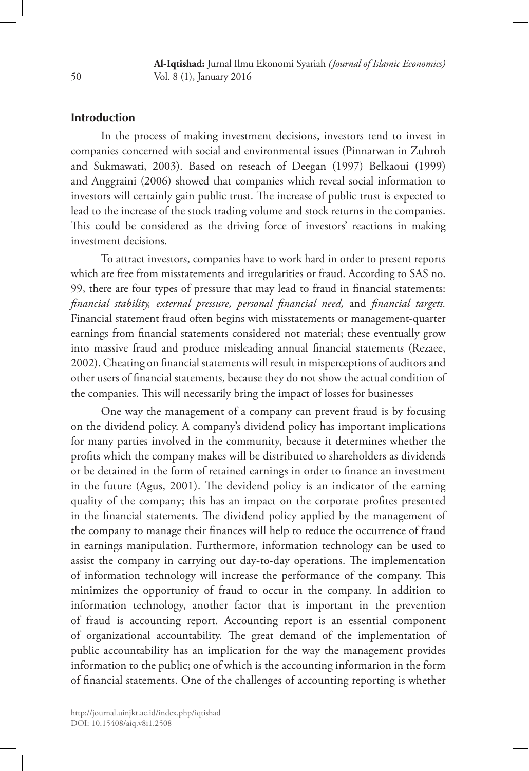# **Introduction**

In the process of making investment decisions, investors tend to invest in companies concerned with social and environmental issues (Pinnarwan in Zuhroh and Sukmawati, 2003). Based on reseach of Deegan (1997) Belkaoui (1999) and Anggraini (2006) showed that companies which reveal social information to investors will certainly gain public trust. The increase of public trust is expected to lead to the increase of the stock trading volume and stock returns in the companies. This could be considered as the driving force of investors' reactions in making investment decisions.

To attract investors, companies have to work hard in order to present reports which are free from misstatements and irregularities or fraud. According to SAS no. 99, there are four types of pressure that may lead to fraud in financial statements: *financial stability, external pressure, personal financial need,* and *financial targets.* Financial statement fraud often begins with misstatements or management-quarter earnings from financial statements considered not material; these eventually grow into massive fraud and produce misleading annual financial statements (Rezaee, 2002). Cheating on financial statements will result in misperceptions of auditors and other users of financial statements, because they do not show the actual condition of the companies. This will necessarily bring the impact of losses for businesses

One way the management of a company can prevent fraud is by focusing on the dividend policy. A company's dividend policy has important implications for many parties involved in the community, because it determines whether the profits which the company makes will be distributed to shareholders as dividends or be detained in the form of retained earnings in order to finance an investment in the future (Agus, 2001). The devidend policy is an indicator of the earning quality of the company; this has an impact on the corporate profites presented in the financial statements. The dividend policy applied by the management of the company to manage their finances will help to reduce the occurrence of fraud in earnings manipulation. Furthermore, information technology can be used to assist the company in carrying out day-to-day operations. The implementation of information technology will increase the performance of the company. This minimizes the opportunity of fraud to occur in the company. In addition to information technology, another factor that is important in the prevention of fraud is accounting report. Accounting report is an essential component of organizational accountability. The great demand of the implementation of public accountability has an implication for the way the management provides information to the public; one of which is the accounting informarion in the form of financial statements. One of the challenges of accounting reporting is whether

50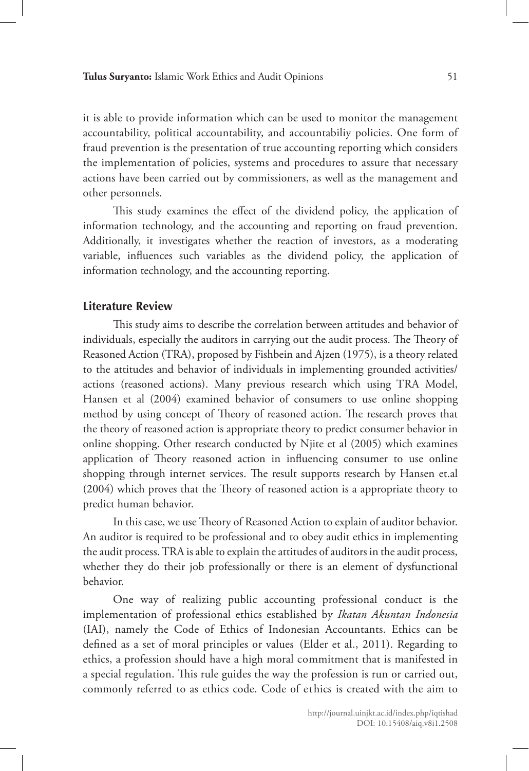it is able to provide information which can be used to monitor the management accountability, political accountability, and accountabiliy policies. One form of fraud prevention is the presentation of true accounting reporting which considers the implementation of policies, systems and procedures to assure that necessary actions have been carried out by commissioners, as well as the management and other personnels.

This study examines the effect of the dividend policy, the application of information technology, and the accounting and reporting on fraud prevention. Additionally, it investigates whether the reaction of investors, as a moderating variable, influences such variables as the dividend policy, the application of information technology, and the accounting reporting.

### **Literature Review**

This study aims to describe the correlation between attitudes and behavior of individuals, especially the auditors in carrying out the audit process. The Theory of Reasoned Action (TRA), proposed by Fishbein and Ajzen (1975), is a theory related to the attitudes and behavior of individuals in implementing grounded activities/ actions (reasoned actions). Many previous research which using TRA Model, Hansen et al (2004) examined behavior of consumers to use online shopping method by using concept of Theory of reasoned action. The research proves that the theory of reasoned action is appropriate theory to predict consumer behavior in online shopping. Other research conducted by Njite et al (2005) which examines application of Theory reasoned action in influencing consumer to use online shopping through internet services. The result supports research by Hansen et.al (2004) which proves that the Theory of reasoned action is a appropriate theory to predict human behavior.

In this case, we use Theory of Reasoned Action to explain of auditor behavior. An auditor is required to be professional and to obey audit ethics in implementing the audit process. TRA is able to explain the attitudes of auditors in the audit process, whether they do their job professionally or there is an element of dysfunctional behavior.

One way of realizing public accounting professional conduct is the implementation of professional ethics established by *Ikatan Akuntan Indonesia* (IAI), namely the Code of Ethics of Indonesian Accountants. Ethics can be defined as a set of moral principles or values (Elder et al., 2011). Regarding to ethics, a profession should have a high moral commitment that is manifested in a special regulation. This rule guides the way the profession is run or carried out, commonly referred to as ethics code. Code of ethics is created with the aim to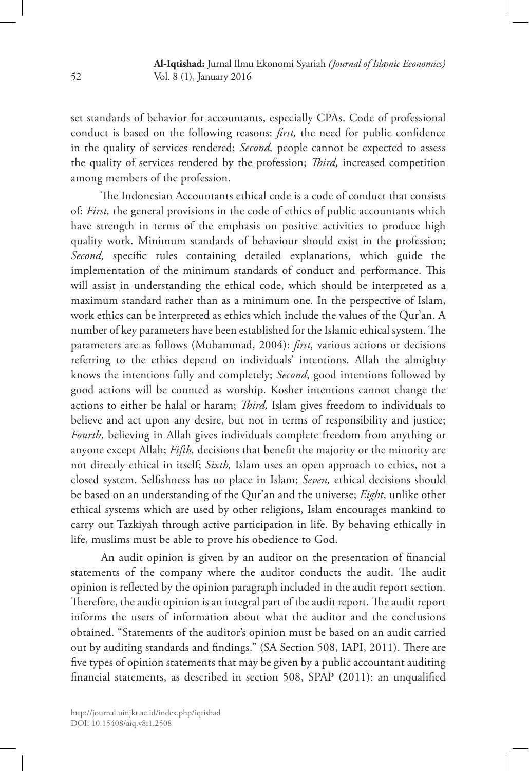set standards of behavior for accountants, especially CPAs. Code of professional conduct is based on the following reasons: *first,* the need for public confidence in the quality of services rendered; *Second,* people cannot be expected to assess the quality of services rendered by the profession; *Third,* increased competition among members of the profession.

The Indonesian Accountants ethical code is a code of conduct that consists of: *First,* the general provisions in the code of ethics of public accountants which have strength in terms of the emphasis on positive activities to produce high quality work. Minimum standards of behaviour should exist in the profession; *Second,* specific rules containing detailed explanations, which guide the implementation of the minimum standards of conduct and performance. This will assist in understanding the ethical code, which should be interpreted as a maximum standard rather than as a minimum one. In the perspective of Islam, work ethics can be interpreted as ethics which include the values of the Qur'an. A number of key parameters have been established for the Islamic ethical system. The parameters are as follows (Muhammad, 2004): *first,* various actions or decisions referring to the ethics depend on individuals' intentions. Allah the almighty knows the intentions fully and completely; *Second*, good intentions followed by good actions will be counted as worship. Kosher intentions cannot change the actions to either be halal or haram; *Third,* Islam gives freedom to individuals to believe and act upon any desire, but not in terms of responsibility and justice; *Fourth*, believing in Allah gives individuals complete freedom from anything or anyone except Allah; *Fifth,* decisions that benefit the majority or the minority are not directly ethical in itself; *Sixth,* Islam uses an open approach to ethics, not a closed system. Selfishness has no place in Islam; *Seven,* ethical decisions should be based on an understanding of the Qur'an and the universe; *Eight*, unlike other ethical systems which are used by other religions, Islam encourages mankind to carry out Tazkiyah through active participation in life. By behaving ethically in life, muslims must be able to prove his obedience to God.

An audit opinion is given by an auditor on the presentation of financial statements of the company where the auditor conducts the audit. The audit opinion is reflected by the opinion paragraph included in the audit report section. Therefore, the audit opinion is an integral part of the audit report. The audit report informs the users of information about what the auditor and the conclusions obtained. "Statements of the auditor's opinion must be based on an audit carried out by auditing standards and findings." (SA Section 508, IAPI, 2011). There are five types of opinion statements that may be given by a public accountant auditing financial statements, as described in section 508, SPAP (2011): an unqualified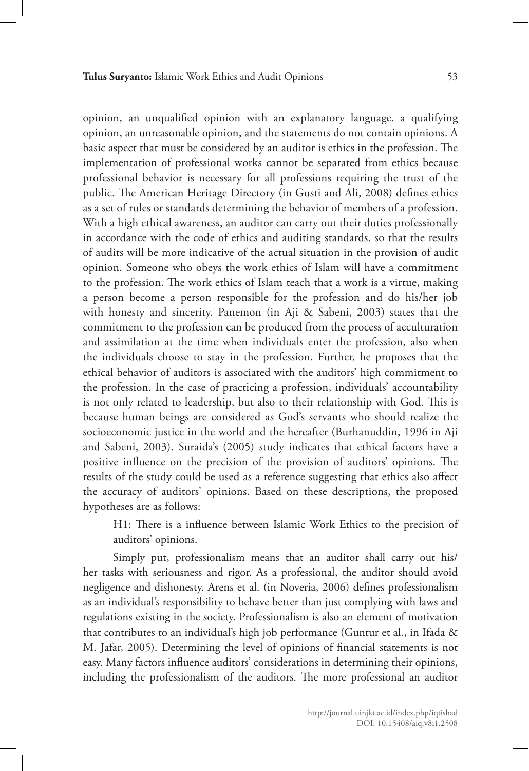opinion, an unqualified opinion with an explanatory language, a qualifying opinion, an unreasonable opinion, and the statements do not contain opinions. A basic aspect that must be considered by an auditor is ethics in the profession. The implementation of professional works cannot be separated from ethics because professional behavior is necessary for all professions requiring the trust of the public. The American Heritage Directory (in Gusti and Ali, 2008) defines ethics as a set of rules or standards determining the behavior of members of a profession. With a high ethical awareness, an auditor can carry out their duties professionally in accordance with the code of ethics and auditing standards, so that the results of audits will be more indicative of the actual situation in the provision of audit opinion. Someone who obeys the work ethics of Islam will have a commitment to the profession. The work ethics of Islam teach that a work is a virtue, making a person become a person responsible for the profession and do his/her job with honesty and sincerity. Panemon (in Aji & Sabeni, 2003) states that the commitment to the profession can be produced from the process of acculturation and assimilation at the time when individuals enter the profession, also when the individuals choose to stay in the profession. Further, he proposes that the ethical behavior of auditors is associated with the auditors' high commitment to the profession. In the case of practicing a profession, individuals' accountability is not only related to leadership, but also to their relationship with God. This is because human beings are considered as God's servants who should realize the socioeconomic justice in the world and the hereafter (Burhanuddin, 1996 in Aji and Sabeni, 2003). Suraida's (2005) study indicates that ethical factors have a positive influence on the precision of the provision of auditors' opinions. The results of the study could be used as a reference suggesting that ethics also affect the accuracy of auditors' opinions. Based on these descriptions, the proposed hypotheses are as follows:

H1: There is a influence between Islamic Work Ethics to the precision of auditors' opinions.

Simply put, professionalism means that an auditor shall carry out his/ her tasks with seriousness and rigor. As a professional, the auditor should avoid negligence and dishonesty. Arens et al. (in Noveria, 2006) defines professionalism as an individual's responsibility to behave better than just complying with laws and regulations existing in the society. Professionalism is also an element of motivation that contributes to an individual's high job performance (Guntur et al., in Ifada & M. Jafar, 2005). Determining the level of opinions of financial statements is not easy. Many factors influence auditors' considerations in determining their opinions, including the professionalism of the auditors. The more professional an auditor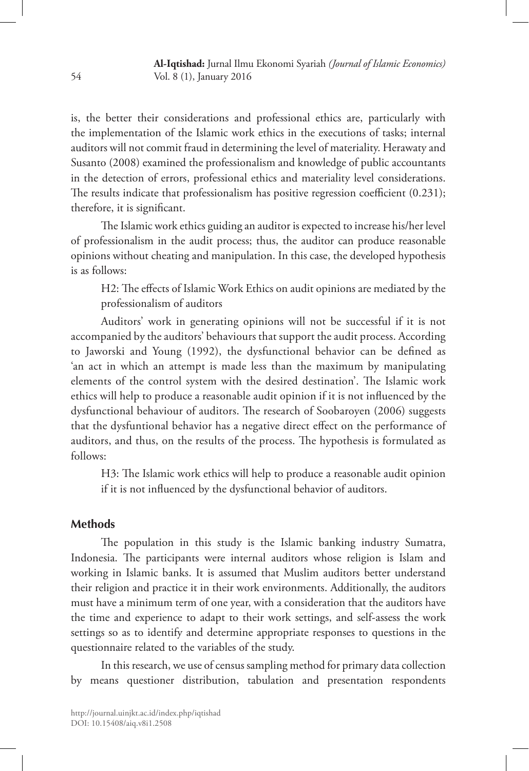is, the better their considerations and professional ethics are, particularly with the implementation of the Islamic work ethics in the executions of tasks; internal auditors will not commit fraud in determining the level of materiality. Herawaty and Susanto (2008) examined the professionalism and knowledge of public accountants in the detection of errors, professional ethics and materiality level considerations. The results indicate that professionalism has positive regression coefficient (0.231); therefore, it is significant.

The Islamic work ethics guiding an auditor is expected to increase his/her level of professionalism in the audit process; thus, the auditor can produce reasonable opinions without cheating and manipulation. In this case, the developed hypothesis is as follows:

H2: The effects of Islamic Work Ethics on audit opinions are mediated by the professionalism of auditors

Auditors' work in generating opinions will not be successful if it is not accompanied by the auditors' behaviours that support the audit process. According to Jaworski and Young (1992), the dysfunctional behavior can be defined as 'an act in which an attempt is made less than the maximum by manipulating elements of the control system with the desired destination'. The Islamic work ethics will help to produce a reasonable audit opinion if it is not influenced by the dysfunctional behaviour of auditors. The research of Soobaroyen (2006) suggests that the dysfuntional behavior has a negative direct effect on the performance of auditors, and thus, on the results of the process. The hypothesis is formulated as follows:

H3: The Islamic work ethics will help to produce a reasonable audit opinion if it is not influenced by the dysfunctional behavior of auditors.

### **Methods**

The population in this study is the Islamic banking industry Sumatra, Indonesia. The participants were internal auditors whose religion is Islam and working in Islamic banks. It is assumed that Muslim auditors better understand their religion and practice it in their work environments. Additionally, the auditors must have a minimum term of one year, with a consideration that the auditors have the time and experience to adapt to their work settings, and self-assess the work settings so as to identify and determine appropriate responses to questions in the questionnaire related to the variables of the study.

In this research, we use of census sampling method for primary data collection by means questioner distribution, tabulation and presentation respondents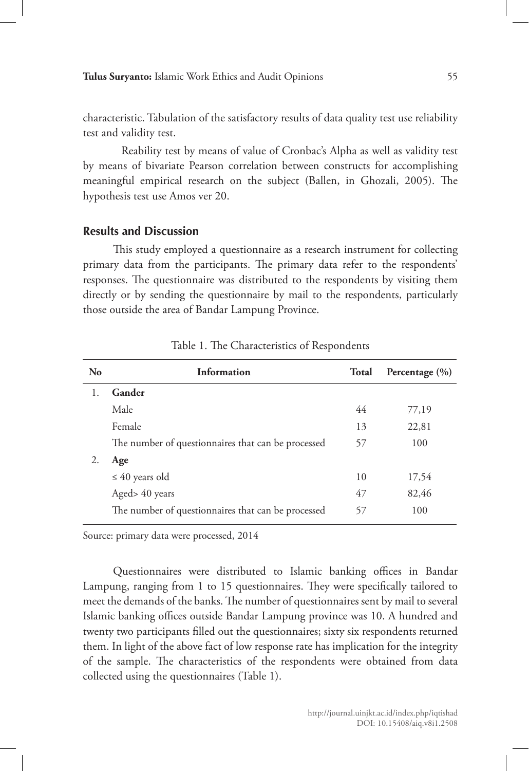characteristic. Tabulation of the satisfactory results of data quality test use reliability test and validity test.

Reability test by means of value of Cronbac's Alpha as well as validity test by means of bivariate Pearson correlation between constructs for accomplishing meaningful empirical research on the subject (Ballen, in Ghozali, 2005). The hypothesis test use Amos ver 20.

#### **Results and Discussion**

This study employed a questionnaire as a research instrument for collecting primary data from the participants. The primary data refer to the respondents' responses. The questionnaire was distributed to the respondents by visiting them directly or by sending the questionnaire by mail to the respondents, particularly those outside the area of Bandar Lampung Province.

| Information                                        | <b>Total</b> | Percentage $(\% )$ |
|----------------------------------------------------|--------------|--------------------|
| Gander                                             |              |                    |
| Male                                               | 44           | 77,19              |
| Female                                             | 13           | 22,81              |
| The number of questionnaires that can be processed | 57           | 100                |
| Age                                                |              |                    |
| $\leq 40$ years old                                | 10           | 17.54              |
| Aged> 40 years                                     | 47           | 82,46              |
| The number of questionnaires that can be processed | 57           | 100                |
|                                                    |              |                    |

Table 1. The Characteristics of Respondents

Source: primary data were processed, 2014

Questionnaires were distributed to Islamic banking offices in Bandar Lampung, ranging from 1 to 15 questionnaires. They were specifically tailored to meet the demands of the banks. The number of questionnaires sent by mail to several Islamic banking offices outside Bandar Lampung province was 10. A hundred and twenty two participants filled out the questionnaires; sixty six respondents returned them. In light of the above fact of low response rate has implication for the integrity of the sample. The characteristics of the respondents were obtained from data collected using the questionnaires (Table 1).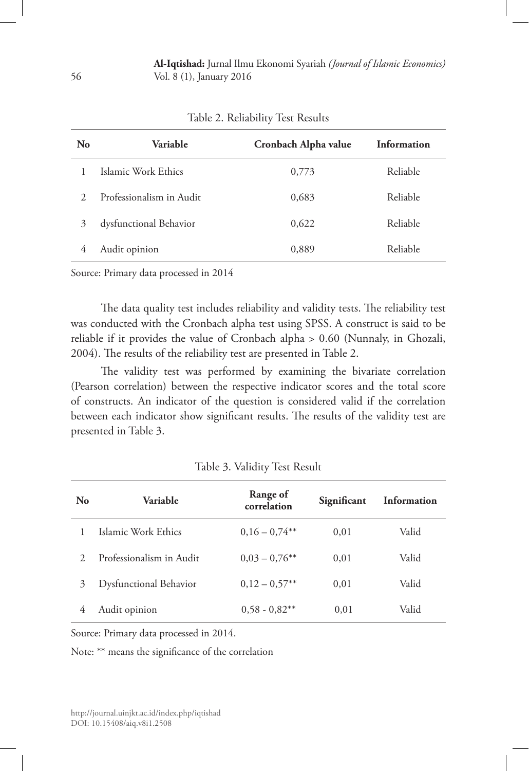| No            | <b>Variable</b>          | Cronbach Alpha value | Information |
|---------------|--------------------------|----------------------|-------------|
|               | Islamic Work Ethics      | 0,773                | Reliable    |
| $\mathcal{D}$ | Professionalism in Audit | 0,683                | Reliable    |
| 3             | dysfunctional Behavior   | 0,622                | Reliable    |
| 4             | Audit opinion            | 0,889                | Reliable    |

Table 2. Reliability Test Results

Source: Primary data processed in 2014

The data quality test includes reliability and validity tests. The reliability test was conducted with the Cronbach alpha test using SPSS. A construct is said to be reliable if it provides the value of Cronbach alpha > 0.60 (Nunnaly, in Ghozali, 2004). The results of the reliability test are presented in Table 2.

The validity test was performed by examining the bivariate correlation (Pearson correlation) between the respective indicator scores and the total score of constructs. An indicator of the question is considered valid if the correlation between each indicator show significant results. The results of the validity test are presented in Table 3.

| No             | Variable                 | Range of<br>correlation | Significant | Information |
|----------------|--------------------------|-------------------------|-------------|-------------|
|                | Islamic Work Ethics      | $0.16 - 0.74***$        | 0,01        | Valid       |
| $\mathfrak{D}$ | Professionalism in Audit | $0.03 - 0.76$ **        | 0.01        | Valid       |
| 3              | Dysfunctional Behavior   | $0.12 - 0.57**$         | 0.01        | Valid       |
|                | Audit opinion            | $0.58 - 0.82$ **        | 0.01        | Valid       |

Table 3. Validity Test Result

Source: Primary data processed in 2014.

Note: \*\* means the significance of the correlation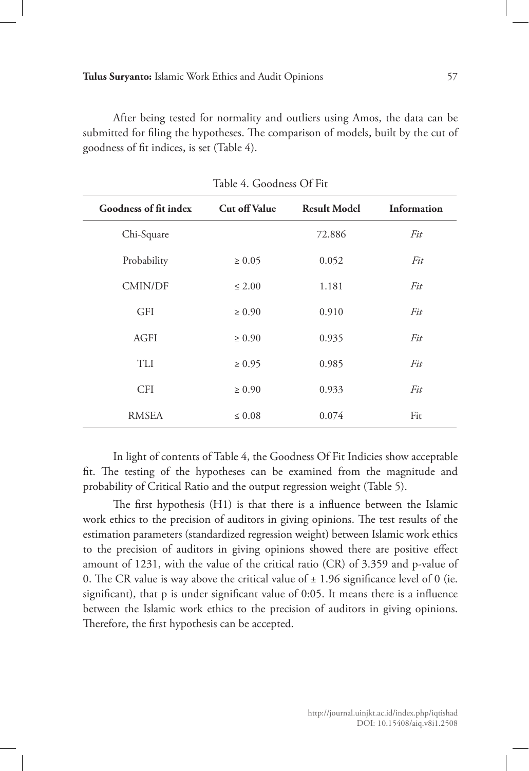After being tested for normality and outliers using Amos, the data can be submitted for filing the hypotheses. The comparison of models, built by the cut of goodness of fit indices, is set (Table 4).

| Goodness of fit index | <b>Cut off Value</b> | <b>Result Model</b> | Information |
|-----------------------|----------------------|---------------------|-------------|
| Chi-Square            |                      | 72.886              | Fit         |
| Probability           | $\geq 0.05$          | 0.052               | Fit         |
| <b>CMIN/DF</b>        | $\leq 2.00$          | 1.181               | Fit         |
| <b>GFI</b>            | $\geq 0.90$          | 0.910               | Fit         |
| AGFI                  | $\geq 0.90$          | 0.935               | Fit         |
| TLI                   | $\geq 0.95$          | 0.985               | Fit         |
| <b>CFI</b>            | $\geq 0.90$          | 0.933               | Fit         |
| <b>RMSEA</b>          | $\leq 0.08$          | 0.074               | Fit         |

Table 4. Goodness Of Fit

In light of contents of Table 4, the Goodness Of Fit Indicies show acceptable fit. The testing of the hypotheses can be examined from the magnitude and probability of Critical Ratio and the output regression weight (Table 5).

The first hypothesis (H1) is that there is a influence between the Islamic work ethics to the precision of auditors in giving opinions. The test results of the estimation parameters (standardized regression weight) between Islamic work ethics to the precision of auditors in giving opinions showed there are positive effect amount of 1231, with the value of the critical ratio (CR) of 3.359 and p-value of 0. The CR value is way above the critical value of  $\pm$  1.96 significance level of 0 (ie. significant), that p is under significant value of 0:05. It means there is a influence between the Islamic work ethics to the precision of auditors in giving opinions. Therefore, the first hypothesis can be accepted.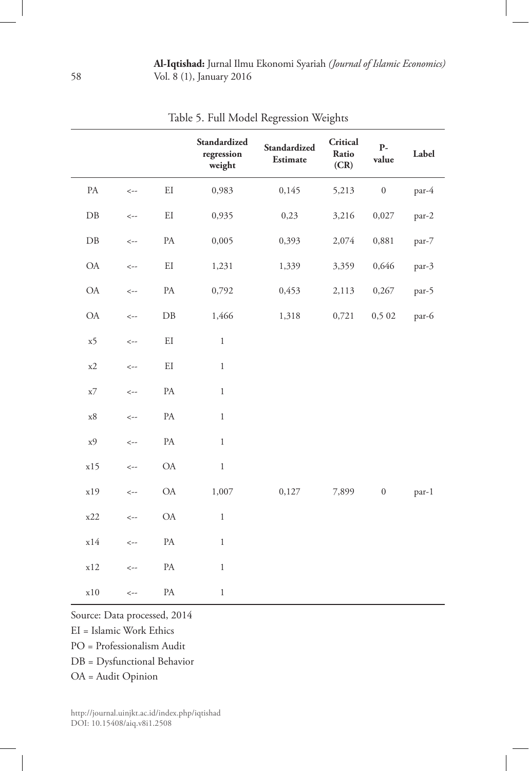|                  |              |                   | Standardized<br>regression<br>weight | Standardized<br>Estimate | Critical<br>Ratio<br>(CR) | $\mathbf{P}\text{-}$<br>value | Label |
|------------------|--------------|-------------------|--------------------------------------|--------------------------|---------------------------|-------------------------------|-------|
| $\mathsf{PA}$    | $\leftarrow$ | EI                | 0,983                                | 0,145                    | 5,213                     | $\boldsymbol{0}$              | par-4 |
| $\rm DB$         | $\leftarrow$ | $\mathop{\rm EI}$ | 0,935                                | 0,23                     | 3,216                     | 0,027                         | par-2 |
| ${\rm D}{\rm B}$ | $\leftarrow$ | $\mathbf{PA}$     | 0,005                                | 0,393                    | 2,074                     | 0,881                         | par-7 |
| $\mathsf{OA}$    | $\leftarrow$ | $\mathop{\rm EI}$ | 1,231                                | 1,339                    | 3,359                     | 0,646                         | par-3 |
| $\mathsf{OA}$    | $\leftarrow$ | $\mathbf{PA}$     | 0,792                                | 0,453                    | 2,113                     | 0,267                         | par-5 |
| $\mathsf{OA}$    | $\leftarrow$ | ${\rm DB}$        | 1,466                                | 1,318                    | 0,721                     | 0,5 02                        | par-6 |
| x5               | $\leftarrow$ | $\mathop{\rm EI}$ | $\,1$                                |                          |                           |                               |       |
| x2               | $\leftarrow$ | $\mathop{\rm EI}$ | $\,1$                                |                          |                           |                               |       |
| x7               | $\leftarrow$ | $\mathbf{PA}$     | $\,1$                                |                          |                           |                               |       |
| $\mathbf{x8}$    | $\leftarrow$ | $\mathbf{PA}$     | $\,1$                                |                          |                           |                               |       |
| x9               | $\leftarrow$ | $\mathbf{PA}$     | $\,1$                                |                          |                           |                               |       |
| x15              | $\leftarrow$ | $\mathsf{OA}$     | $\,1$                                |                          |                           |                               |       |
| x19              | $\leftarrow$ | $\mathsf{OA}$     | 1,007                                | 0,127                    | 7,899                     | $\boldsymbol{0}$              | par-1 |
| x22              | $\leftarrow$ | $\mathrm{OA}$     | $\,1$                                |                          |                           |                               |       |
| x14              | $\leftarrow$ | PA                | $\,1$                                |                          |                           |                               |       |
| x12              | $\leftarrow$ | $\mathbf{PA}$     | $\,1$                                |                          |                           |                               |       |
| $\ge 10$         | $\leftarrow$ | $\mathbf{PA}$     | $\,1$                                |                          |                           |                               |       |

Table 5. Full Model Regression Weights

Source: Data processed, 2014

EI = Islamic Work Ethics

PO = Professionalism Audit

DB = Dysfunctional Behavior

OA = Audit Opinion

http://journal.uinjkt.ac.id/index.php/iqtishad DOI: 10.15408/aiq.v8i1.2508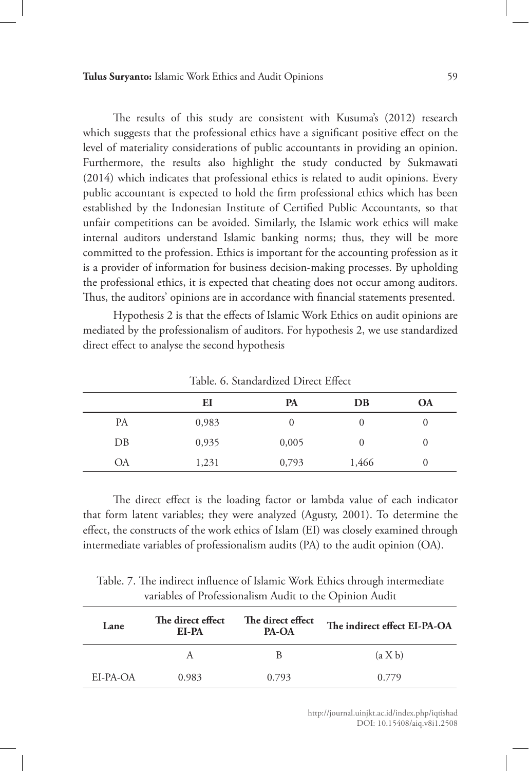The results of this study are consistent with Kusuma's (2012) research which suggests that the professional ethics have a significant positive effect on the level of materiality considerations of public accountants in providing an opinion. Furthermore, the results also highlight the study conducted by Sukmawati (2014) which indicates that professional ethics is related to audit opinions. Every public accountant is expected to hold the firm professional ethics which has been established by the Indonesian Institute of Certified Public Accountants, so that unfair competitions can be avoided. Similarly, the Islamic work ethics will make internal auditors understand Islamic banking norms; thus, they will be more committed to the profession. Ethics is important for the accounting profession as it is a provider of information for business decision-making processes. By upholding the professional ethics, it is expected that cheating does not occur among auditors. Thus, the auditors' opinions are in accordance with financial statements presented.

Hypothesis 2 is that the effects of Islamic Work Ethics on audit opinions are mediated by the professionalism of auditors. For hypothesis 2, we use standardized direct effect to analyse the second hypothesis

|    | EI    | PA    | DB    | <b>OA</b> |
|----|-------|-------|-------|-----------|
| PA | 0,983 | U     | O     | 0         |
| DB | 0,935 | 0,005 | 0     | $\theta$  |
| ОA | 1,231 | 0,793 | 1,466 |           |

Table. 6. Standardized Direct Effect

The direct effect is the loading factor or lambda value of each indicator that form latent variables; they were analyzed (Agusty, 2001). To determine the effect, the constructs of the work ethics of Islam (EI) was closely examined through intermediate variables of professionalism audits (PA) to the audit opinion (OA).

Table. 7. The indirect influence of Islamic Work Ethics through intermediate variables of Professionalism Audit to the Opinion Audit

| Lane     | The direct effect<br>EI-PA | The direct effect<br><b>PA-OA</b> | The indirect effect EI-PA-OA |
|----------|----------------------------|-----------------------------------|------------------------------|
|          |                            | В                                 | (a X b)                      |
| EI-PA-OA | 0.983                      | 0.793                             | 0.779                        |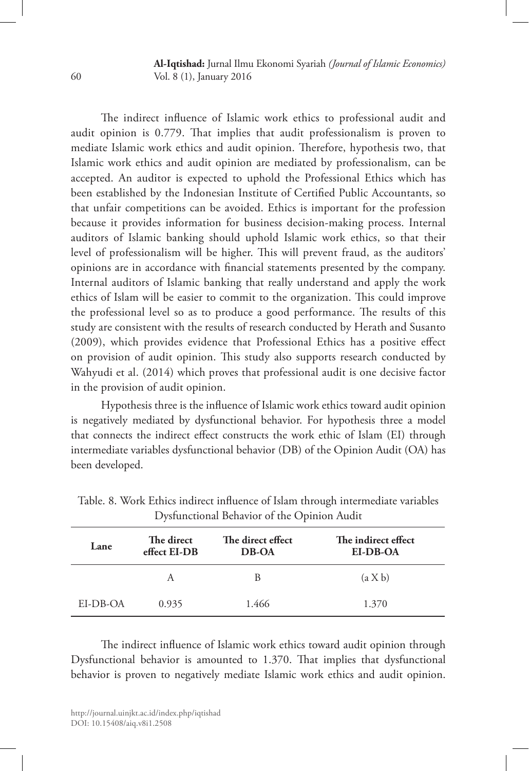**Al-Iqtishad:** Jurnal Ilmu Ekonomi Syariah *(Journal of Islamic Economics)* Vol. 8 (1), January 2016

The indirect influence of Islamic work ethics to professional audit and audit opinion is 0.779. That implies that audit professionalism is proven to mediate Islamic work ethics and audit opinion. Therefore, hypothesis two, that Islamic work ethics and audit opinion are mediated by professionalism, can be accepted. An auditor is expected to uphold the Professional Ethics which has been established by the Indonesian Institute of Certified Public Accountants, so that unfair competitions can be avoided. Ethics is important for the profession because it provides information for business decision-making process. Internal auditors of Islamic banking should uphold Islamic work ethics, so that their level of professionalism will be higher. This will prevent fraud, as the auditors' opinions are in accordance with financial statements presented by the company. Internal auditors of Islamic banking that really understand and apply the work ethics of Islam will be easier to commit to the organization. This could improve the professional level so as to produce a good performance. The results of this study are consistent with the results of research conducted by Herath and Susanto (2009), which provides evidence that Professional Ethics has a positive effect on provision of audit opinion. This study also supports research conducted by Wahyudi et al. (2014) which proves that professional audit is one decisive factor in the provision of audit opinion.

Hypothesis three is the influence of Islamic work ethics toward audit opinion is negatively mediated by dysfunctional behavior. For hypothesis three a model that connects the indirect effect constructs the work ethic of Islam (EI) through intermediate variables dysfunctional behavior (DB) of the Opinion Audit (OA) has been developed.

| Lane     | The direct<br>effect EI-DB | The direct effect<br>DB-OA | The indirect effect<br>EI-DB-OA |
|----------|----------------------------|----------------------------|---------------------------------|
|          | А                          | B                          | (a X b)                         |
| EI-DB-OA | 0.935                      | 1.466                      | 1.370                           |

Table. 8. Work Ethics indirect influence of Islam through intermediate variables Dysfunctional Behavior of the Opinion Audit

The indirect influence of Islamic work ethics toward audit opinion through Dysfunctional behavior is amounted to 1.370. That implies that dysfunctional behavior is proven to negatively mediate Islamic work ethics and audit opinion.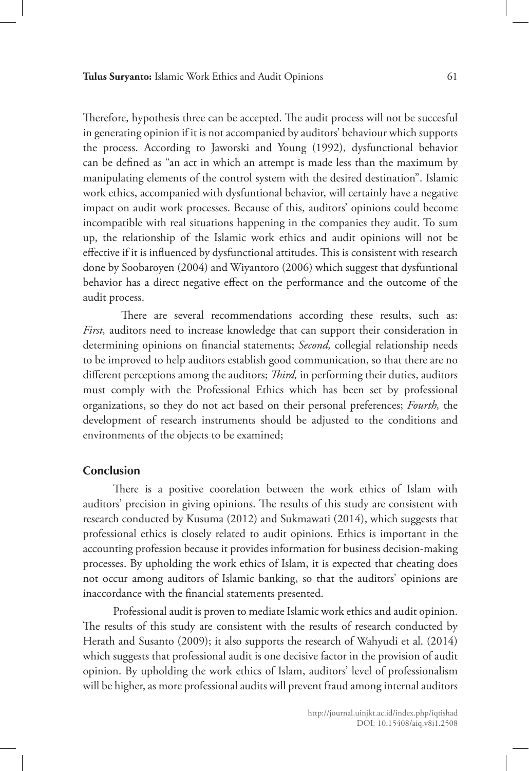Therefore, hypothesis three can be accepted. The audit process will not be succesful in generating opinion if it is not accompanied by auditors' behaviour which supports the process. According to Jaworski and Young (1992), dysfunctional behavior can be defined as "an act in which an attempt is made less than the maximum by manipulating elements of the control system with the desired destination". Islamic work ethics, accompanied with dysfuntional behavior, will certainly have a negative impact on audit work processes. Because of this, auditors' opinions could become incompatible with real situations happening in the companies they audit. To sum up, the relationship of the Islamic work ethics and audit opinions will not be effective if it is influenced by dysfunctional attitudes. This is consistent with research done by Soobaroyen (2004) and Wiyantoro (2006) which suggest that dysfuntional behavior has a direct negative effect on the performance and the outcome of the audit process.

There are several recommendations according these results, such as: *First,* auditors need to increase knowledge that can support their consideration in determining opinions on financial statements; *Second,* collegial relationship needs to be improved to help auditors establish good communication, so that there are no different perceptions among the auditors; *Third,* in performing their duties, auditors must comply with the Professional Ethics which has been set by professional organizations, so they do not act based on their personal preferences; *Fourth,* the development of research instruments should be adjusted to the conditions and environments of the objects to be examined;

## **Conclusion**

There is a positive coorelation between the work ethics of Islam with auditors' precision in giving opinions. The results of this study are consistent with research conducted by Kusuma (2012) and Sukmawati (2014), which suggests that professional ethics is closely related to audit opinions. Ethics is important in the accounting profession because it provides information for business decision-making processes. By upholding the work ethics of Islam, it is expected that cheating does not occur among auditors of Islamic banking, so that the auditors' opinions are inaccordance with the financial statements presented.

Professional audit is proven to mediate Islamic work ethics and audit opinion. The results of this study are consistent with the results of research conducted by Herath and Susanto (2009); it also supports the research of Wahyudi et al. (2014) which suggests that professional audit is one decisive factor in the provision of audit opinion. By upholding the work ethics of Islam, auditors' level of professionalism will be higher, as more professional audits will prevent fraud among internal auditors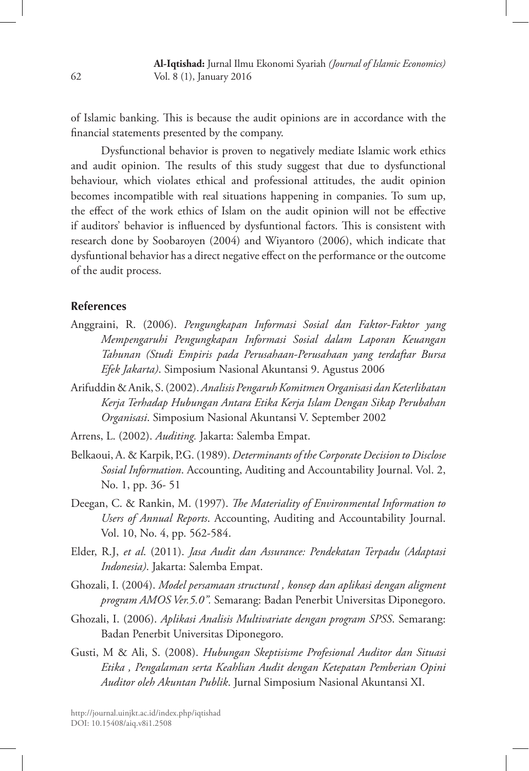of Islamic banking. This is because the audit opinions are in accordance with the financial statements presented by the company.

Dysfunctional behavior is proven to negatively mediate Islamic work ethics and audit opinion. The results of this study suggest that due to dysfunctional behaviour, which violates ethical and professional attitudes, the audit opinion becomes incompatible with real situations happening in companies. To sum up, the effect of the work ethics of Islam on the audit opinion will not be effective if auditors' behavior is influenced by dysfuntional factors. This is consistent with research done by Soobaroyen (2004) and Wiyantoro (2006), which indicate that dysfuntional behavior has a direct negative effect on the performance or the outcome of the audit process.

# **References**

- Anggraini, R. (2006). *Pengungkapan Informasi Sosial dan Faktor-Faktor yang Mempengaruhi Pengungkapan Informasi Sosial dalam Laporan Keuangan Tahunan (Studi Empiris pada Perusahaan-Perusahaan yang terdaftar Bursa Efek Jakarta)*. Simposium Nasional Akuntansi 9. Agustus 2006
- Arifuddin & Anik, S. (2002). *Analisis Pengaruh Komitmen Organisasi dan Keterlibatan Kerja Terhadap Hubungan Antara Etika Kerja Islam Dengan Sikap Perubahan Organisasi*. Simposium Nasional Akuntansi V. September 2002
- Arrens, L. (2002). *Auditing.* Jakarta: Salemba Empat.
- Belkaoui, A. & Karpik, P.G. (1989). *Determinants of the Corporate Decision to Disclose Sosial Information*. Accounting, Auditing and Accountability Journal. Vol. 2, No. 1, pp. 36- 51
- Deegan, C. & Rankin, M. (1997). *The Materiality of Environmental Information to Users of Annual Reports*. Accounting, Auditing and Accountability Journal. Vol. 10, No. 4, pp. 562-584.
- Elder, R.J, *et al*. (2011). *Jasa Audit dan Assurance: Pendekatan Terpadu (Adaptasi Indonesia)*. Jakarta: Salemba Empat.
- Ghozali, I. (2004). *Model persamaan structural , konsep dan aplikasi dengan aligment program AMOS Ver.5.0".* Semarang: Badan Penerbit Universitas Diponegoro.
- Ghozali, I. (2006). *Aplikasi Analisis Multivariate dengan program SPSS*. Semarang: Badan Penerbit Universitas Diponegoro.
- Gusti, M & Ali, S. (2008). *Hubungan Skeptisisme Profesional Auditor dan Situasi Etika , Pengalaman serta Keahlian Audit dengan Ketepatan Pemberian Opini Auditor oleh Akuntan Publik*. Jurnal Simposium Nasional Akuntansi XI.

62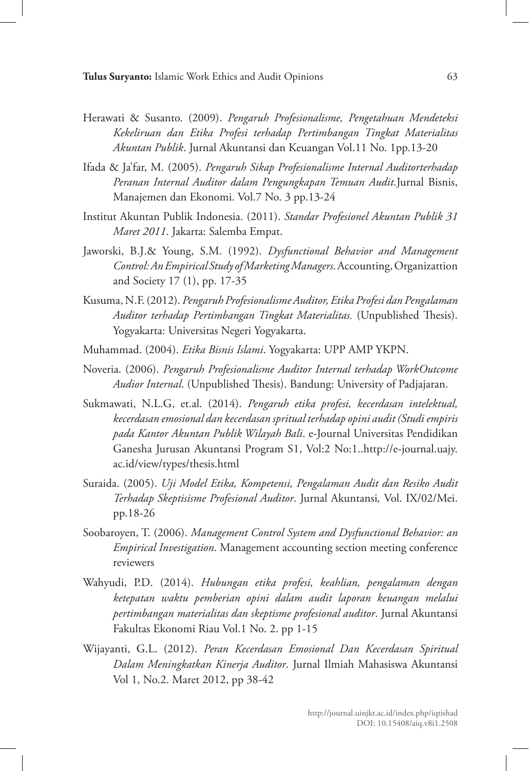- Herawati & Susanto. (2009). *Pengaruh Profesionalisme, Pengetahuan Mendeteksi Kekeliruan dan Etika Profesi terhadap Pertimbangan Tingkat Materialitas Akuntan Publik*. Jurnal Akuntansi dan Keuangan Vol.11 No. 1pp.13-20
- Ifada & Ja'far, M. (2005). *Pengaruh Sikap Profesionalisme Internal Auditorterhadap Peranan Internal Auditor dalam Pengungkapan Temuan Audit*.Jurnal Bisnis, Manajemen dan Ekonomi. Vol.7 No. 3 pp.13-24
- Institut Akuntan Publik Indonesia. (2011). *Standar Profesionel Akuntan Publik 31 Maret 2011*. Jakarta: Salemba Empat.
- Jaworski, B.J.& Young, S.M. (1992). *Dysfunctional Behavior and Management Control: An Empirical Study of Marketing Managers*. Accounting, Organizattion and Society 17 (1), pp. 17-35
- Kusuma, N.F. (2012). *Pengaruh Profesionalisme Auditor, Etika Profesi dan Pengalaman Auditor terhadap Pertimbangan Tingkat Materialitas.* (Unpublished Thesis). Yogyakarta: Universitas Negeri Yogyakarta.
- Muhammad. (2004). *Etika Bisnis Islami*. Yogyakarta: UPP AMP YKPN.
- Noveria. (2006). *Pengaruh Profesionalisme Auditor Internal terhadap WorkOutcome Audior Internal*. (Unpublished Thesis). Bandung: University of Padjajaran.
- Sukmawati, N.L.G, et.al. (2014). *Pengaruh etika profesi, kecerdasan intelektual, kecerdasan emosional dan kecerdasan spritual terhadap opini audit (Studi empiris pada Kantor Akuntan Publik Wilayah Bali*. e-Journal Universitas Pendidikan Ganesha Jurusan Akuntansi Program S1, Vol:2 No:1..http://e-journal.uajy. ac.id/view/types/thesis.html
- Suraida. (2005). *Uji Model Etika, Kompetensi, Pengalaman Audit dan Resiko Audit Terhadap Skeptisisme Profesional Auditor*. Jurnal Akuntansi*,* Vol. IX/02/Mei. pp.18-26
- Soobaroyen, T. (2006). *Management Control System and Dysfunctional Behavior: an Empirical Investigation*. Management accounting section meeting conference reviewers
- Wahyudi, P.D. (2014). *Hubungan etika profesi, keahlian, pengalaman dengan ketepatan waktu pemberian opini dalam audit laporan keuangan melalui pertimbangan materialitas dan skeptisme profesional auditor*. Jurnal Akuntansi Fakultas Ekonomi Riau Vol.1 No. 2. pp 1-15
- Wijayanti, G.L. (2012). *Peran Kecerdasan Emosional Dan Kecerdasan Spiritual Dalam Meningkatkan Kinerja Auditor*. Jurnal Ilmiah Mahasiswa Akuntansi Vol 1, No.2. Maret 2012, pp 38-42